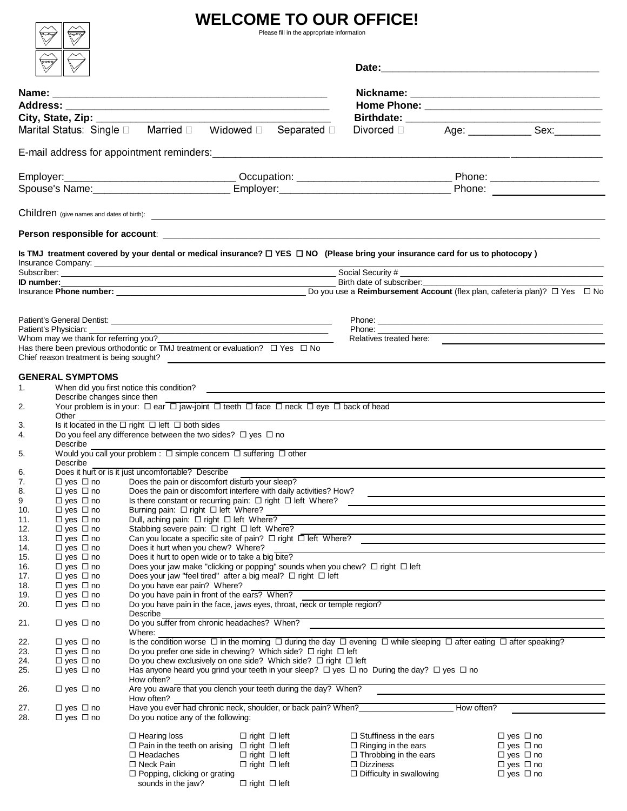## **WELCOME TO OUR OFFICE!**

 $\begin{picture}(40,40) \put(0,0){\line(1,0){10}} \put(15,0){\line(1,0){10}} \put(15,0){\line(1,0){10}} \put(15,0){\line(1,0){10}} \put(15,0){\line(1,0){10}} \put(15,0){\line(1,0){10}} \put(15,0){\line(1,0){10}} \put(15,0){\line(1,0){10}} \put(15,0){\line(1,0){10}} \put(15,0){\line(1,0){10}} \put(15,0){\line(1,0){10}} \put(15,0){\line(1$ 

 $\begin{picture}(180,10) \put(0,0){\line(1,0){10}} \put(10,0){\line(1,0){10}} \put(10,0){\line(1,0){10}} \put(10,0){\line(1,0){10}} \put(10,0){\line(1,0){10}} \put(10,0){\line(1,0){10}} \put(10,0){\line(1,0){10}} \put(10,0){\line(1,0){10}} \put(10,0){\line(1,0){10}} \put(10,0){\line(1,0){10}} \put(10,0){\line(1,0){10}} \put(10,0){\line($ 

|            | City, State, Zip: _______                    |                                                                                                                                                    |                                                                                                                       |  |                                                     |            |                                                                                                           |  |  |
|------------|----------------------------------------------|----------------------------------------------------------------------------------------------------------------------------------------------------|-----------------------------------------------------------------------------------------------------------------------|--|-----------------------------------------------------|------------|-----------------------------------------------------------------------------------------------------------|--|--|
|            |                                              | Marital Status: Single D Married D Widowed D Separated D                                                                                           |                                                                                                                       |  |                                                     |            |                                                                                                           |  |  |
|            |                                              |                                                                                                                                                    |                                                                                                                       |  |                                                     |            |                                                                                                           |  |  |
|            |                                              |                                                                                                                                                    |                                                                                                                       |  |                                                     |            |                                                                                                           |  |  |
| Employer:  |                                              |                                                                                                                                                    |                                                                                                                       |  |                                                     |            |                                                                                                           |  |  |
|            |                                              |                                                                                                                                                    |                                                                                                                       |  |                                                     |            |                                                                                                           |  |  |
|            |                                              |                                                                                                                                                    |                                                                                                                       |  |                                                     |            |                                                                                                           |  |  |
|            |                                              |                                                                                                                                                    |                                                                                                                       |  |                                                     |            |                                                                                                           |  |  |
|            |                                              | Is TMJ treatment covered by your dental or medical insurance? □ YES □ NO (Please bring your insurance card for us to photocopy)                    |                                                                                                                       |  |                                                     |            |                                                                                                           |  |  |
|            |                                              |                                                                                                                                                    |                                                                                                                       |  |                                                     |            |                                                                                                           |  |  |
|            |                                              |                                                                                                                                                    | Birth date of subscriber:                                                                                             |  |                                                     |            |                                                                                                           |  |  |
|            |                                              |                                                                                                                                                    |                                                                                                                       |  |                                                     |            | Insurance Phone number: <u>Do you use</u> a Reimbursement Account (flex plan, cafeteria plan)? □ Yes □ No |  |  |
|            |                                              |                                                                                                                                                    |                                                                                                                       |  |                                                     |            |                                                                                                           |  |  |
|            |                                              |                                                                                                                                                    | <u> 1989 - Johann John Stein, markin fan it ferskearre fan it ferskearre fan it ferskearre fan it ferskearre fan </u> |  |                                                     |            |                                                                                                           |  |  |
|            |                                              | Whom may we thank for referring you?                                                                                                               |                                                                                                                       |  |                                                     |            |                                                                                                           |  |  |
|            | Chief reason treatment is being sought?      | Has there been previous orthodontic or TMJ treatment or evaluation? $\square$ Yes $\square$ No                                                     |                                                                                                                       |  |                                                     |            |                                                                                                           |  |  |
|            | <b>GENERAL SYMPTOMS</b>                      |                                                                                                                                                    |                                                                                                                       |  |                                                     |            |                                                                                                           |  |  |
| 1.         |                                              |                                                                                                                                                    |                                                                                                                       |  |                                                     |            |                                                                                                           |  |  |
|            | Describe changes since then                  |                                                                                                                                                    |                                                                                                                       |  |                                                     |            |                                                                                                           |  |  |
| 2.         | Other                                        | Your problem is in your: $\Box$ ear $\Box$ jaw-joint $\Box$ teeth $\Box$ face $\Box$ neck $\Box$ eye $\Box$ back of head                           |                                                                                                                       |  |                                                     |            |                                                                                                           |  |  |
| 3.         |                                              | Is it located in the $\Box$ right $\Box$ left $\Box$ both sides                                                                                    |                                                                                                                       |  |                                                     |            |                                                                                                           |  |  |
| 4.         |                                              | Do you feel any difference between the two sides? $\Box$ yes $\Box$ no                                                                             |                                                                                                                       |  |                                                     |            |                                                                                                           |  |  |
| 5.         | Describe                                     | Would you call your problem : $\square$ simple concern $\square$ suffering $\square$ other                                                         |                                                                                                                       |  |                                                     |            |                                                                                                           |  |  |
|            | Describe                                     |                                                                                                                                                    |                                                                                                                       |  |                                                     |            |                                                                                                           |  |  |
| 6.<br>7.   | $\Box$ yes $\Box$ no                         | Does it hurt or is it just uncomfortable? Describe<br>Does the pain or discomfort disturb your sleep?                                              |                                                                                                                       |  |                                                     |            |                                                                                                           |  |  |
| 8.         | $\Box$ yes $\Box$ no                         | Does the pain or discomfort interfere with daily activities? How?                                                                                  |                                                                                                                       |  |                                                     |            |                                                                                                           |  |  |
| 9          | $\Box$ yes $\Box$ no                         | Is there constant or recurring pain: $\Box$ right $\Box$ left Where?                                                                               |                                                                                                                       |  |                                                     |            |                                                                                                           |  |  |
| 10.        | $\Box$ yes $\Box$ no                         | Burning pain: □ right □ left Where?                                                                                                                |                                                                                                                       |  |                                                     |            |                                                                                                           |  |  |
| 11.        | $\Box$ yes $\Box$ no                         | Dull, aching pain: $\Box$ right $\Box$ left Where?                                                                                                 |                                                                                                                       |  |                                                     |            |                                                                                                           |  |  |
| 12.<br>13. | $\Box$ yes $\Box$ no<br>$\Box$ yes $\Box$ no | Stabbing severe pain: □ right □ left Where?<br>Can you locate a specific site of pain? $\Box$ right $\Box$ left Where?                             |                                                                                                                       |  |                                                     |            |                                                                                                           |  |  |
| 14.        | $\Box$ yes $\Box$ no                         | Does it hurt when you chew? Where?                                                                                                                 |                                                                                                                       |  |                                                     |            |                                                                                                           |  |  |
| 15.        | $\Box$ yes $\Box$ no                         | Does it hurt to open wide or to take a big bite?                                                                                                   |                                                                                                                       |  |                                                     |            |                                                                                                           |  |  |
| 16.        | $\Box$ yes $\Box$ no                         | Does your jaw make "clicking or popping" sounds when you chew? $\Box$ right $\Box$ left                                                            |                                                                                                                       |  |                                                     |            |                                                                                                           |  |  |
| 17.        | $\Box$ yes $\Box$ no                         | Does your jaw "feel tired" after a big meal? $\Box$ right $\Box$ left                                                                              |                                                                                                                       |  |                                                     |            |                                                                                                           |  |  |
| 18.        | $\Box$ yes $\Box$ no                         | Do you have ear pain? Where?                                                                                                                       |                                                                                                                       |  |                                                     |            |                                                                                                           |  |  |
| 19.<br>20. | $\Box$ yes $\Box$ no<br>$\Box$ yes $\Box$ no | Do you have pain in front of the ears? When?<br>Do you have pain in the face, jaws eyes, throat, neck or temple region?                            |                                                                                                                       |  |                                                     |            |                                                                                                           |  |  |
|            |                                              | Describe                                                                                                                                           |                                                                                                                       |  |                                                     |            |                                                                                                           |  |  |
| 21.        | $\Box$ yes $\Box$ no                         | Do you suffer from chronic headaches? When?<br>Where:                                                                                              |                                                                                                                       |  |                                                     |            |                                                                                                           |  |  |
| 22.        | $\Box$ yes $\Box$ no                         | Is the condition worse $\Box$ in the morning $\Box$ during the day $\Box$ evening $\Box$ while sleeping $\Box$ after eating $\Box$ after speaking? |                                                                                                                       |  |                                                     |            |                                                                                                           |  |  |
| 23.        | $\Box$ yes $\Box$ no                         | Do you prefer one side in chewing? Which side? $\Box$ right $\Box$ left                                                                            |                                                                                                                       |  |                                                     |            |                                                                                                           |  |  |
| 24.        | $\Box$ yes $\Box$ no                         |                                                                                                                                                    | Do you chew exclusively on one side? Which side? $\Box$ right $\Box$ left                                             |  |                                                     |            |                                                                                                           |  |  |
| 25.        | $\Box$ yes $\Box$ no                         | Has anyone heard you grind your teeth in your sleep? $\Box$ yes $\Box$ no During the day? $\Box$ yes $\Box$ no                                     |                                                                                                                       |  |                                                     |            |                                                                                                           |  |  |
| 26.        | $\Box$ yes $\Box$ no                         | How often?<br>Are you aware that you clench your teeth during the day? When?                                                                       |                                                                                                                       |  |                                                     |            |                                                                                                           |  |  |
|            |                                              | How often?                                                                                                                                         |                                                                                                                       |  |                                                     |            |                                                                                                           |  |  |
| 27.        | $\Box$ yes $\Box$ no                         | Have you ever had chronic neck, shoulder, or back pain? When?                                                                                      |                                                                                                                       |  |                                                     | How often? |                                                                                                           |  |  |
| 28.        | □ yes □ no                                   | Do you notice any of the following:                                                                                                                |                                                                                                                       |  |                                                     |            |                                                                                                           |  |  |
|            |                                              | $\Box$ Hearing loss                                                                                                                                | $\Box$ right $\Box$ left                                                                                              |  | $\Box$ Stuffiness in the ears                       |            | $\Box$ yes $\Box$ no                                                                                      |  |  |
|            |                                              | $\Box$ Pain in the teeth on arising $\Box$ right $\Box$ left                                                                                       |                                                                                                                       |  | $\Box$ Ringing in the ears                          |            | $\Box$ yes $\Box$ no                                                                                      |  |  |
|            |                                              | $\Box$ Headaches                                                                                                                                   | $\Box$ right $\Box$ left                                                                                              |  | $\Box$ Throbbing in the ears                        |            | $\Box$ yes $\Box$ no                                                                                      |  |  |
|            |                                              | $\Box$ Neck Pain<br>$\Box$ Popping, clicking or grating                                                                                            | $\Box$ right $\Box$ left                                                                                              |  | $\Box$ Dizziness<br>$\Box$ Difficulty in swallowing |            | $\Box$ yes $\Box$ no<br>$\Box$ yes $\Box$ no                                                              |  |  |
|            |                                              |                                                                                                                                                    |                                                                                                                       |  |                                                     |            |                                                                                                           |  |  |

sounds in the jaw?  $\Box$  right  $\Box$  left